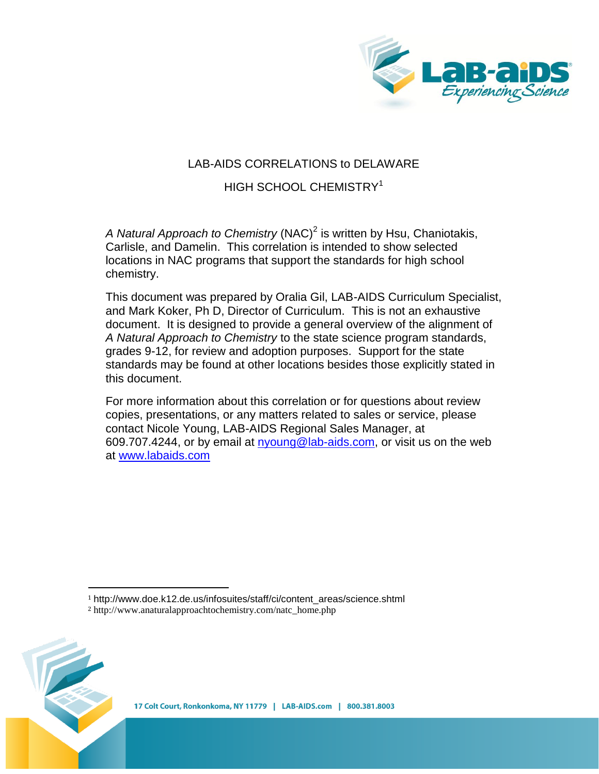

# LAB-AIDS CORRELATIONS to DELAWARE

# HIGH SCHOOL CHEMISTRY<sup>1</sup>

A Natural Approach to Chemistry (NAC)<sup>2</sup> is written by Hsu, Chaniotakis, Carlisle, and Damelin. This correlation is intended to show selected locations in NAC programs that support the standards for high school chemistry.

This document was prepared by Oralia Gil, LAB-AIDS Curriculum Specialist, and Mark Koker, Ph D, Director of Curriculum. This is not an exhaustive document. It is designed to provide a general overview of the alignment of *A Natural Approach to Chemistry* to the state science program standards, grades 9-12, for review and adoption purposes. Support for the state standards may be found at other locations besides those explicitly stated in this document.

For more information about this correlation or for questions about review copies, presentations, or any matters related to sales or service, please contact Nicole Young, LAB-AIDS Regional Sales Manager, at 609.707.4244, or by email at nyoung@lab-aids.com, or visit us on the web at [www.labaids.com](http://www.labaids.com/)

<sup>1</sup> http://www.doe.k12.de.us/infosuites/staff/ci/content\_areas/science.shtml



l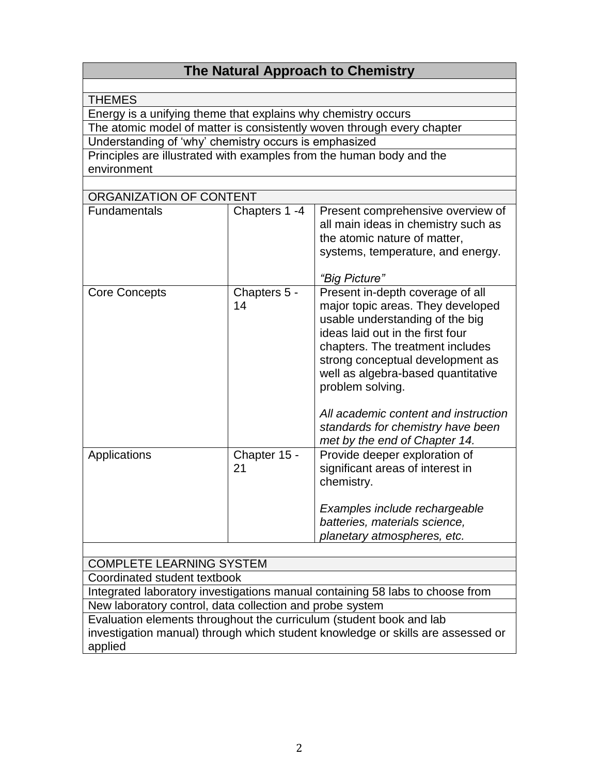# **The Natural Approach to Chemistry**

| THEMES |  |
|--------|--|

Energy is a unifying theme that explains why chemistry occurs

The atomic model of matter is consistently woven through every chapter

Understanding of 'why' chemistry occurs is emphasized

Principles are illustrated with examples from the human body and the environment

| ORGANIZATION OF CONTENT |                    |                                                                                                                                                                                                                                                                                                                                                                                              |  |  |
|-------------------------|--------------------|----------------------------------------------------------------------------------------------------------------------------------------------------------------------------------------------------------------------------------------------------------------------------------------------------------------------------------------------------------------------------------------------|--|--|
| <b>Fundamentals</b>     | Chapters 1 -4      | Present comprehensive overview of<br>all main ideas in chemistry such as<br>the atomic nature of matter,<br>systems, temperature, and energy.<br>"Big Picture"                                                                                                                                                                                                                               |  |  |
| <b>Core Concepts</b>    | Chapters 5 -<br>14 | Present in-depth coverage of all<br>major topic areas. They developed<br>usable understanding of the big<br>ideas laid out in the first four<br>chapters. The treatment includes<br>strong conceptual development as<br>well as algebra-based quantitative<br>problem solving.<br>All academic content and instruction<br>standards for chemistry have been<br>met by the end of Chapter 14. |  |  |
| Applications            | Chapter 15 -<br>21 | Provide deeper exploration of<br>significant areas of interest in<br>chemistry.<br>Examples include rechargeable<br>batteries, materials science,<br>planetary atmospheres, etc.                                                                                                                                                                                                             |  |  |

### COMPLETE LEARNING SYSTEM

Coordinated student textbook

Integrated laboratory investigations manual containing 58 labs to choose from New laboratory control, data collection and probe system

Evaluation elements throughout the curriculum (student book and lab investigation manual) through which student knowledge or skills are assessed or applied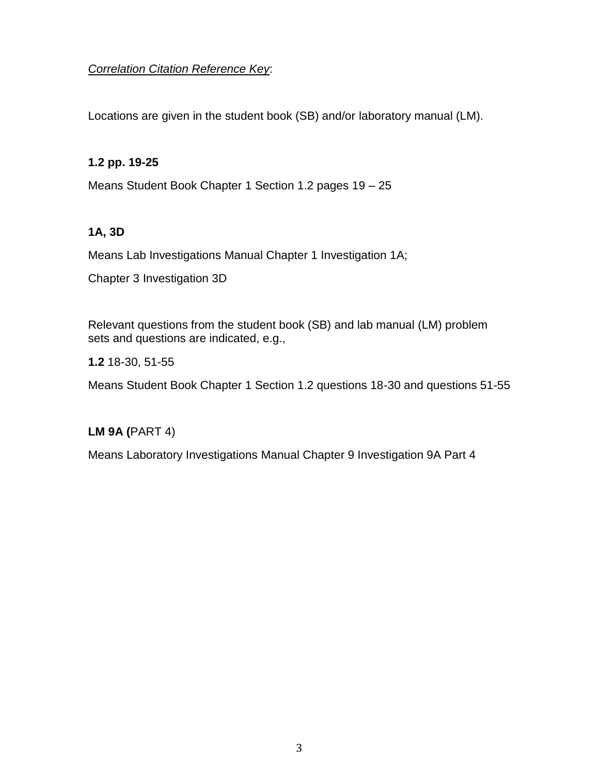# *Correlation Citation Reference Key*:

Locations are given in the student book (SB) and/or laboratory manual (LM).

### **1.2 pp. 19-25**

Means Student Book Chapter 1 Section 1.2 pages 19 – 25

#### **1A, 3D**

Means Lab Investigations Manual Chapter 1 Investigation 1A;

Chapter 3 Investigation 3D

Relevant questions from the student book (SB) and lab manual (LM) problem sets and questions are indicated, e.g.,

**1.2** 18-30, 51-55

Means Student Book Chapter 1 Section 1.2 questions 18-30 and questions 51-55

### **LM 9A (**PART 4)

Means Laboratory Investigations Manual Chapter 9 Investigation 9A Part 4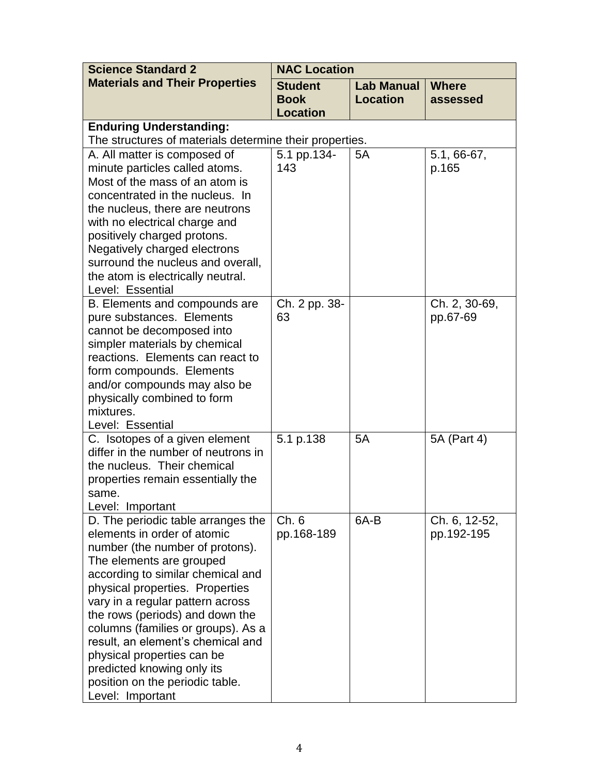| <b>Science Standard 2</b>                                                                                                                                                                                                                                                                                                                                                                                                                                                     | <b>NAC Location</b>                                     |                                      |                             |  |
|-------------------------------------------------------------------------------------------------------------------------------------------------------------------------------------------------------------------------------------------------------------------------------------------------------------------------------------------------------------------------------------------------------------------------------------------------------------------------------|---------------------------------------------------------|--------------------------------------|-----------------------------|--|
| <b>Materials and Their Properties</b>                                                                                                                                                                                                                                                                                                                                                                                                                                         | <b>Student</b><br><b>Book</b><br><b>Location</b>        | <b>Lab Manual</b><br><b>Location</b> | <b>Where</b><br>assessed    |  |
| <b>Enduring Understanding:</b>                                                                                                                                                                                                                                                                                                                                                                                                                                                | The structures of materials determine their properties. |                                      |                             |  |
| A. All matter is composed of<br>minute particles called atoms.<br>Most of the mass of an atom is<br>concentrated in the nucleus. In<br>the nucleus, there are neutrons<br>with no electrical charge and<br>positively charged protons.<br>Negatively charged electrons<br>surround the nucleus and overall,<br>the atom is electrically neutral.<br>Level: Essential                                                                                                          | 5.1 pp.134-<br>143                                      | 5A                                   | $5.1, 66-67,$<br>p.165      |  |
| B. Elements and compounds are<br>pure substances. Elements<br>cannot be decomposed into<br>simpler materials by chemical<br>reactions. Elements can react to<br>form compounds. Elements<br>and/or compounds may also be<br>physically combined to form<br>mixtures.<br>Level: Essential                                                                                                                                                                                      | Ch. 2 pp. 38-<br>63                                     |                                      | Ch. 2, 30-69,<br>pp.67-69   |  |
| C. Isotopes of a given element<br>differ in the number of neutrons in<br>the nucleus. Their chemical<br>properties remain essentially the<br>same.<br>Level: Important                                                                                                                                                                                                                                                                                                        | 5.1 p.138                                               | 5A                                   | 5A (Part 4)                 |  |
| D. The periodic table arranges the<br>elements in order of atomic<br>number (the number of protons).<br>The elements are grouped<br>according to similar chemical and<br>physical properties. Properties<br>vary in a regular pattern across<br>the rows (periods) and down the<br>columns (families or groups). As a<br>result, an element's chemical and<br>physical properties can be<br>predicted knowing only its<br>position on the periodic table.<br>Level: Important | Ch.6<br>pp.168-189                                      | 6A-B                                 | Ch. 6, 12-52,<br>pp.192-195 |  |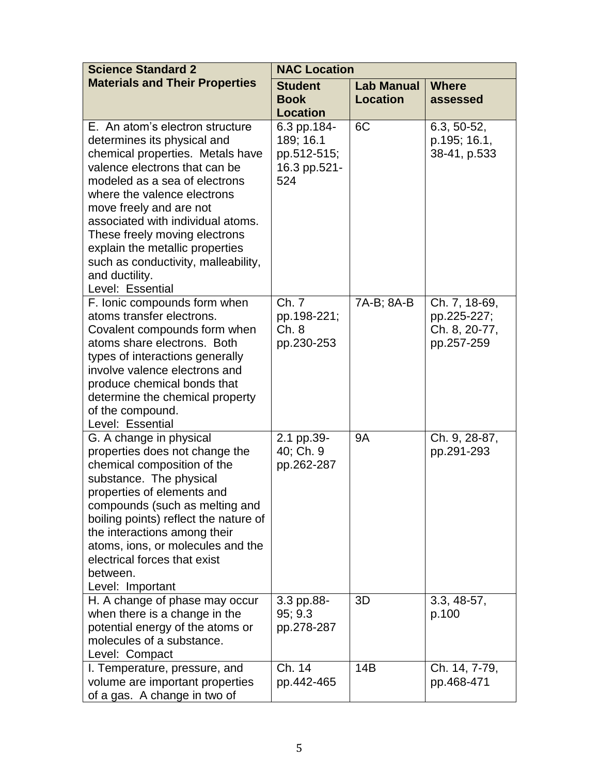| <b>Science Standard 2</b>                                                                                                                                                                                                                                                                                                                                                                                            | <b>NAC Location</b>                                            |                                      |                                                             |
|----------------------------------------------------------------------------------------------------------------------------------------------------------------------------------------------------------------------------------------------------------------------------------------------------------------------------------------------------------------------------------------------------------------------|----------------------------------------------------------------|--------------------------------------|-------------------------------------------------------------|
| <b>Materials and Their Properties</b>                                                                                                                                                                                                                                                                                                                                                                                | <b>Student</b><br><b>Book</b><br><b>Location</b>               | <b>Lab Manual</b><br><b>Location</b> | <b>Where</b><br>assessed                                    |
| E. An atom's electron structure<br>determines its physical and<br>chemical properties. Metals have<br>valence electrons that can be<br>modeled as a sea of electrons<br>where the valence electrons<br>move freely and are not<br>associated with individual atoms.<br>These freely moving electrons<br>explain the metallic properties<br>such as conductivity, malleability,<br>and ductility.<br>Level: Essential | 6.3 pp.184-<br>189; 16.1<br>pp.512-515;<br>16.3 pp.521-<br>524 | 6C                                   | $6.3, 50-52,$<br>p.195; 16.1,<br>38-41, p.533               |
| F. Ionic compounds form when<br>atoms transfer electrons.<br>Covalent compounds form when<br>atoms share electrons. Both<br>types of interactions generally<br>involve valence electrons and<br>produce chemical bonds that<br>determine the chemical property<br>of the compound.<br>Level: Essential                                                                                                               | Ch. 7<br>pp.198-221;<br>Ch.8<br>pp.230-253                     | 7A-B; 8A-B                           | Ch. 7, 18-69,<br>pp.225-227;<br>Ch. 8, 20-77,<br>pp.257-259 |
| G. A change in physical<br>properties does not change the<br>chemical composition of the<br>substance. The physical<br>properties of elements and<br>compounds (such as melting and<br>boiling points) reflect the nature of<br>the interactions among their<br>atoms, ions, or molecules and the<br>electrical forces that exist<br>between.<br>Level: Important                                                    | 2.1 pp.39-<br>40; Ch. 9<br>pp.262-287                          | <b>9A</b>                            | Ch. 9, 28-87,<br>pp.291-293                                 |
| H. A change of phase may occur<br>when there is a change in the<br>potential energy of the atoms or<br>molecules of a substance.<br>Level: Compact                                                                                                                                                                                                                                                                   | 3.3 pp.88-<br>95:9.3<br>pp.278-287                             | 3D                                   | $3.3, 48-57,$<br>p.100                                      |
| I. Temperature, pressure, and<br>volume are important properties<br>of a gas. A change in two of                                                                                                                                                                                                                                                                                                                     | Ch. 14<br>pp.442-465                                           | 14B                                  | Ch. 14, 7-79,<br>pp.468-471                                 |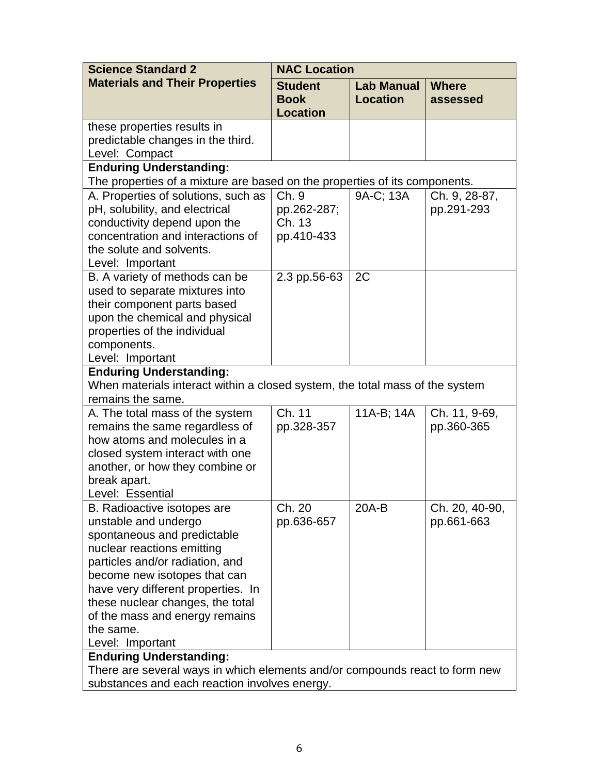| <b>Science Standard 2</b>                                                                                                                                                                                                                                                                                                        | <b>NAC Location</b>                              |                                      |                              |  |
|----------------------------------------------------------------------------------------------------------------------------------------------------------------------------------------------------------------------------------------------------------------------------------------------------------------------------------|--------------------------------------------------|--------------------------------------|------------------------------|--|
| <b>Materials and Their Properties</b>                                                                                                                                                                                                                                                                                            | <b>Student</b><br><b>Book</b><br><b>Location</b> | <b>Lab Manual</b><br><b>Location</b> | <b>Where</b><br>assessed     |  |
| these properties results in<br>predictable changes in the third.<br>Level: Compact                                                                                                                                                                                                                                               |                                                  |                                      |                              |  |
| <b>Enduring Understanding:</b><br>The properties of a mixture are based on the properties of its components.                                                                                                                                                                                                                     |                                                  |                                      |                              |  |
| A. Properties of solutions, such as<br>pH, solubility, and electrical<br>conductivity depend upon the<br>concentration and interactions of<br>the solute and solvents.                                                                                                                                                           | Ch. 9<br>pp.262-287;<br>Ch. 13<br>pp.410-433     | 9A-C; 13A                            | Ch. 9, 28-87,<br>pp.291-293  |  |
| Level: Important<br>B. A variety of methods can be<br>used to separate mixtures into<br>their component parts based<br>upon the chemical and physical<br>properties of the individual<br>components.<br>Level: Important                                                                                                         | 2.3 pp.56-63                                     | 2C                                   |                              |  |
| <b>Enduring Understanding:</b>                                                                                                                                                                                                                                                                                                   |                                                  |                                      |                              |  |
| When materials interact within a closed system, the total mass of the system<br>remains the same.                                                                                                                                                                                                                                |                                                  |                                      |                              |  |
| A. The total mass of the system<br>remains the same regardless of<br>how atoms and molecules in a<br>closed system interact with one<br>another, or how they combine or<br>break apart.<br>Level: Essential                                                                                                                      | Ch. 11<br>pp.328-357                             | 11A-B; 14A                           | Ch. 11, 9-69,<br>pp.360-365  |  |
| B. Radioactive isotopes are<br>unstable and undergo<br>spontaneous and predictable<br>nuclear reactions emitting<br>particles and/or radiation, and<br>become new isotopes that can<br>have very different properties. In<br>these nuclear changes, the total<br>of the mass and energy remains<br>the same.<br>Level: Important | Ch. 20<br>pp.636-657                             | 20A-B                                | Ch. 20, 40-90,<br>pp.661-663 |  |
| <b>Enduring Understanding:</b>                                                                                                                                                                                                                                                                                                   |                                                  |                                      |                              |  |
| There are several ways in which elements and/or compounds react to form new<br>substances and each reaction involves energy.                                                                                                                                                                                                     |                                                  |                                      |                              |  |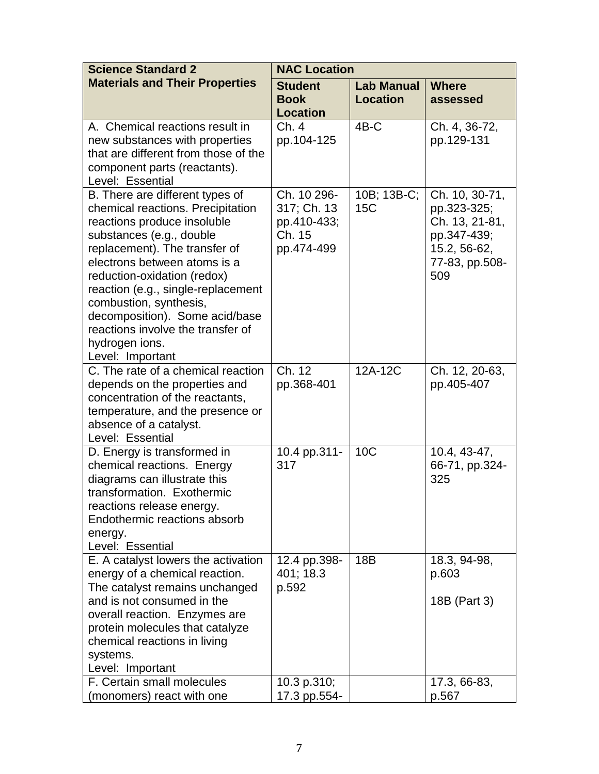| <b>Science Standard 2</b>                                                                                                                                                                                                                                                                                                                                                                                    | <b>NAC Location</b>                                               |                                      |                                                                                                         |
|--------------------------------------------------------------------------------------------------------------------------------------------------------------------------------------------------------------------------------------------------------------------------------------------------------------------------------------------------------------------------------------------------------------|-------------------------------------------------------------------|--------------------------------------|---------------------------------------------------------------------------------------------------------|
| <b>Materials and Their Properties</b>                                                                                                                                                                                                                                                                                                                                                                        | <b>Student</b><br><b>Book</b><br><b>Location</b>                  | <b>Lab Manual</b><br><b>Location</b> | <b>Where</b><br>assessed                                                                                |
| A. Chemical reactions result in<br>new substances with properties<br>that are different from those of the<br>component parts (reactants).<br>Level: Essential                                                                                                                                                                                                                                                | Ch. 4<br>pp.104-125                                               | $4B-C$                               | Ch. 4, 36-72,<br>pp.129-131                                                                             |
| B. There are different types of<br>chemical reactions. Precipitation<br>reactions produce insoluble<br>substances (e.g., double<br>replacement). The transfer of<br>electrons between atoms is a<br>reduction-oxidation (redox)<br>reaction (e.g., single-replacement<br>combustion, synthesis,<br>decomposition). Some acid/base<br>reactions involve the transfer of<br>hydrogen ions.<br>Level: Important | Ch. 10 296-<br>317; Ch. 13<br>pp.410-433;<br>Ch. 15<br>pp.474-499 | 10B; 13B-C;<br>15C                   | Ch. 10, 30-71,<br>pp.323-325;<br>Ch. 13, 21-81,<br>pp.347-439;<br>15.2, 56-62,<br>77-83, pp.508-<br>509 |
| C. The rate of a chemical reaction<br>depends on the properties and<br>concentration of the reactants,<br>temperature, and the presence or<br>absence of a catalyst.<br>Level: Essential                                                                                                                                                                                                                     | $\overline{\text{Ch}}$ . 12<br>pp.368-401                         | 12A-12C                              | Ch. 12, 20-63,<br>pp.405-407                                                                            |
| D. Energy is transformed in<br>chemical reactions. Energy<br>diagrams can illustrate this<br>transformation. Exothermic<br>reactions release energy.<br>Endothermic reactions absorb<br>energy.<br>Level: Essential                                                                                                                                                                                          | 10.4 pp.311-<br>317                                               | 10 <sub>C</sub>                      | 10.4, 43-47,<br>66-71, pp.324-<br>325                                                                   |
| E. A catalyst lowers the activation<br>energy of a chemical reaction.<br>The catalyst remains unchanged<br>and is not consumed in the<br>overall reaction. Enzymes are<br>protein molecules that catalyze<br>chemical reactions in living<br>systems.<br>Level: Important                                                                                                                                    | 12.4 pp.398-<br>401; 18.3<br>p.592                                | 18B                                  | 18.3, 94-98,<br>p.603<br>18B (Part 3)                                                                   |
| F. Certain small molecules<br>(monomers) react with one                                                                                                                                                                                                                                                                                                                                                      | 10.3 p.310;<br>17.3 pp.554-                                       |                                      | 17.3, 66-83,<br>p.567                                                                                   |